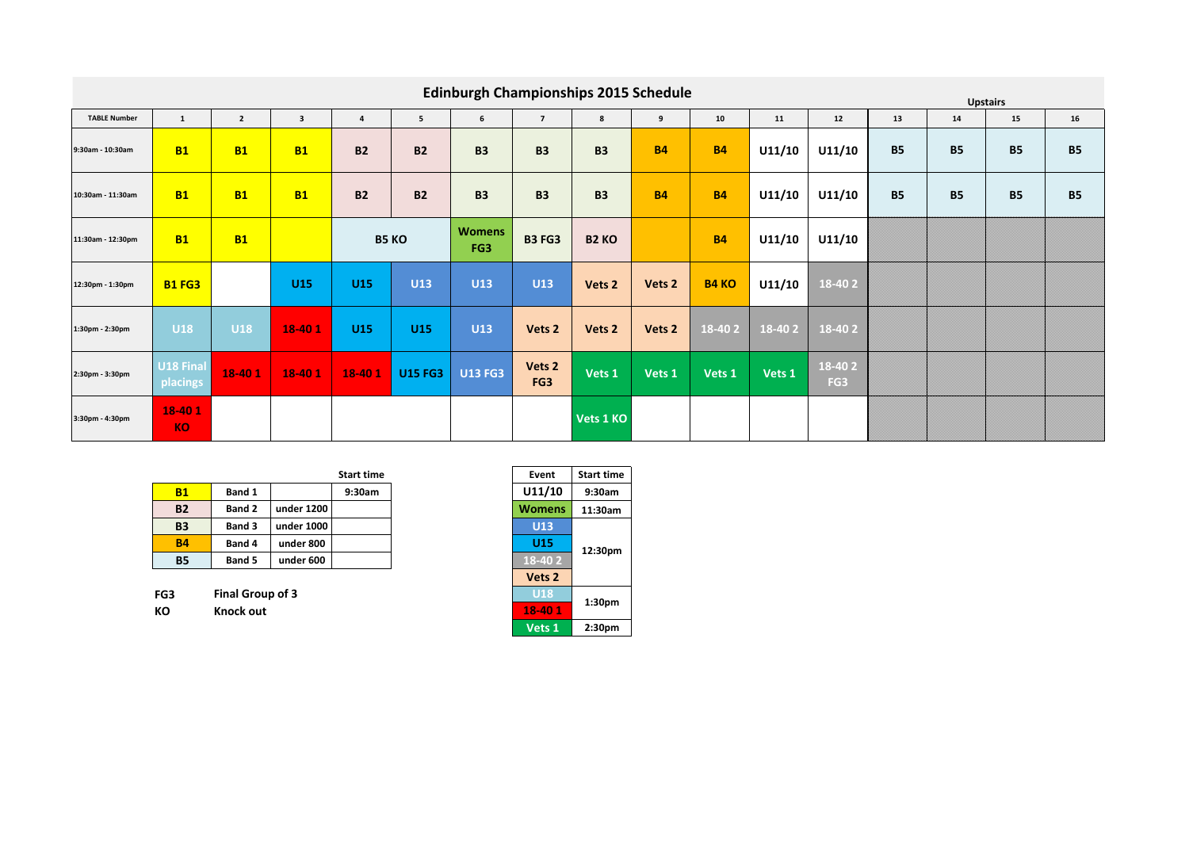|                     |                       |                |                         |                |                | <b>Edinburgh Championships 2015 Schedule</b> |                   |                   |                   |              |        |                           |           |           | <b>Upstairs</b> |           |
|---------------------|-----------------------|----------------|-------------------------|----------------|----------------|----------------------------------------------|-------------------|-------------------|-------------------|--------------|--------|---------------------------|-----------|-----------|-----------------|-----------|
| <b>TABLE Number</b> | $\mathbf{1}$          | $\overline{2}$ | $\overline{\mathbf{3}}$ | $\overline{a}$ | 5 <sup>5</sup> | 6                                            | $\overline{7}$    | 8                 | 9                 | 10           | 11     | 12                        | 13        | 14        | 15              | 16        |
| 9:30am - 10:30am    | <b>B1</b>             | <b>B1</b>      | <b>B1</b>               | <b>B2</b>      | <b>B2</b>      | <b>B3</b>                                    | <b>B3</b>         | <b>B3</b>         | <b>B4</b>         | <b>B4</b>    | U11/10 | U11/10                    | <b>B5</b> | <b>B5</b> | <b>B5</b>       | <b>B5</b> |
| 10:30am - 11:30am   | <b>B1</b>             | <b>B1</b>      | <b>B1</b>               | <b>B2</b>      | <b>B2</b>      | <b>B3</b>                                    | <b>B3</b>         | <b>B3</b>         | <b>B4</b>         | <b>B4</b>    | U11/10 | U11/10                    | <b>B5</b> | <b>B5</b> | <b>B5</b>       | <b>B5</b> |
| 11:30am - 12:30pm   | <b>B1</b>             | <b>B1</b>      |                         |                | <b>B5 KO</b>   | <b>Womens</b><br>FG3                         | <b>B3 FG3</b>     | B <sub>2</sub> KO |                   | <b>B4</b>    | U11/10 | U11/10                    |           |           |                 |           |
| 12:30pm - 1:30pm    | <b>B1 FG3</b>         |                | <b>U15</b>              | <b>U15</b>     | <b>U13</b>     | <b>U13</b>                                   | U13               | Vets <sub>2</sub> | Vets <sub>2</sub> | <b>B4 KO</b> | U11/10 | 18-402                    |           |           |                 |           |
| 1:30pm - 2:30pm     | <b>U18</b>            | <b>U18</b>     | 18-401                  | <b>U15</b>     | <b>U15</b>     | <b>U13</b>                                   | Vets <sub>2</sub> | Vets <sub>2</sub> | Vets <sub>2</sub> | 18-402       | 18-402 | 18-402                    |           |           |                 |           |
| 2:30pm - 3:30pm     | U18 Final<br>placings | 18-401         | 18-401                  | 18-401         | <b>U15 FG3</b> | <b>U13 FG3</b>                               | Vets 2<br>FG3     | Vets 1            | Vets 1            | Vets 1       | Vets 1 | 18-402<br>FG <sub>3</sub> |           |           |                 |           |
| 3:30pm - 4:30pm     | 18-401<br><b>KO</b>   |                |                         |                |                |                                              |                   | Vets 1 KO         |                   |              |        |                           |           |           |                 |           |

|           |               |            | <b>Start time</b> | Event         | Start time |
|-----------|---------------|------------|-------------------|---------------|------------|
| <b>B1</b> | Band 1        |            | 9:30am            | U11/10        | 9:30am     |
| <b>B2</b> | <b>Band 2</b> | under 1200 |                   | <b>Womens</b> | 11:30am    |
| <b>B3</b> | <b>Band 3</b> | under 1000 |                   | U13           |            |
| <b>B4</b> | Band 4        | under 800  |                   | U15           | 12:30pm    |
| <b>B5</b> | <b>Band 5</b> | under 600  |                   | 18-402        |            |

| FG3 | Final Group of 3 | $\overline{\phantom{0}}$ U18 |
|-----|------------------|------------------------------|
| KO  | Knock out        | $18-401$                     |

| Start time | Event             | <b>Start time</b>  |
|------------|-------------------|--------------------|
| 9:30am     | U11/10            | 9:30am             |
|            | <b>Womens</b>     | 11:30am            |
|            | U13               |                    |
|            | <b>U15</b>        | 12:30pm            |
|            | 18-402            |                    |
|            | Vets <sub>2</sub> |                    |
|            | <b>U18</b>        | 1:30 <sub>pm</sub> |
|            | 18-401            |                    |
|            | Vets <sub>1</sub> | 2:30pm             |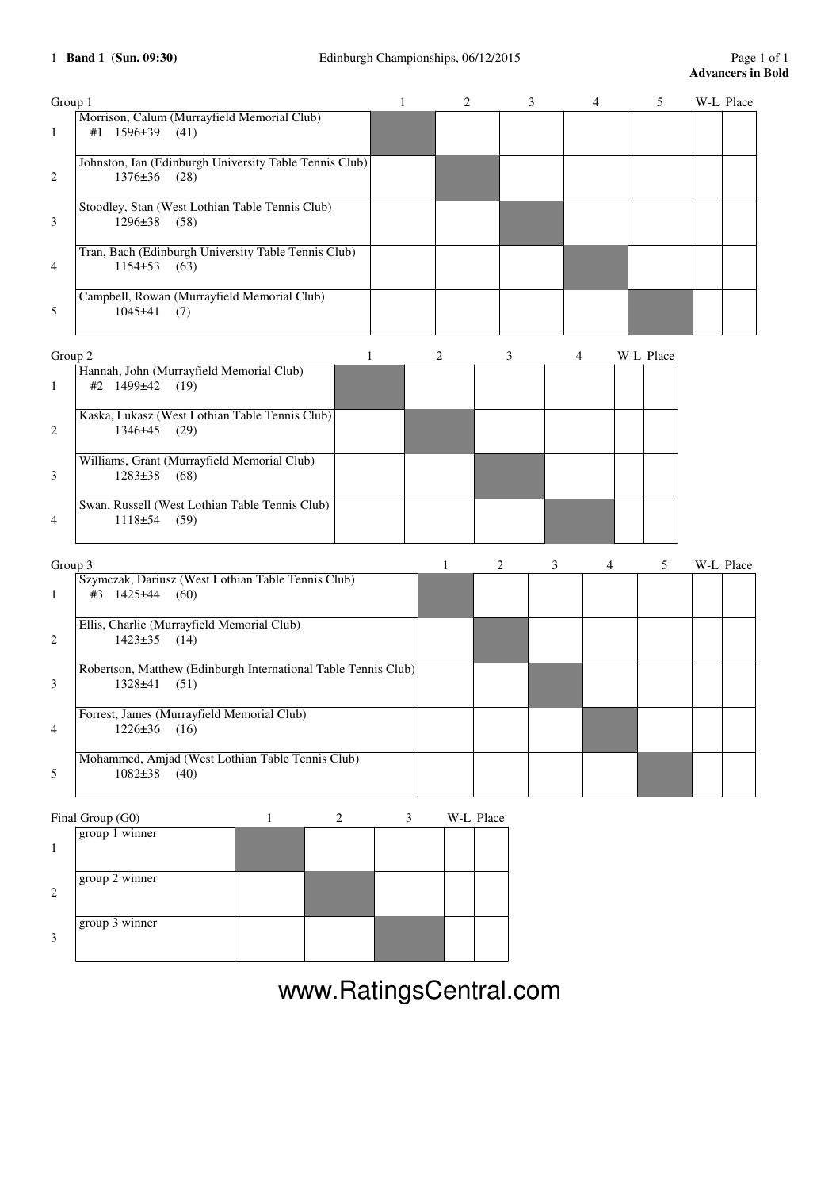| Group 1                 |                                                                                   | $\mathbf{1}$   | 2            | 3              | 4      | 5         | W-L Place |  |
|-------------------------|-----------------------------------------------------------------------------------|----------------|--------------|----------------|--------|-----------|-----------|--|
| $\mathbf{1}$            | Morrison, Calum (Murrayfield Memorial Club)<br>#1 1596±39<br>(41)                 |                |              |                |        |           |           |  |
| 2                       | Johnston, Ian (Edinburgh University Table Tennis Club)<br>$1376 \pm 36$<br>(28)   |                |              |                |        |           |           |  |
| 3                       | Stoodley, Stan (West Lothian Table Tennis Club)<br>$1296 \pm 38$ (58)             |                |              |                |        |           |           |  |
| 4                       | Tran, Bach (Edinburgh University Table Tennis Club)<br>$1154 \pm 53$<br>(63)      |                |              |                |        |           |           |  |
| 5                       | Campbell, Rowan (Murrayfield Memorial Club)<br>$1045 \pm 41$<br>(7)               |                |              |                |        |           |           |  |
| Group 2<br>1            | Hannah, John (Murrayfield Memorial Club)<br>#2 1499±42 (19)                       | 1              | 2            | 3              | 4      | W-L Place |           |  |
| 2                       | Kaska, Lukasz (West Lothian Table Tennis Club)<br>1346±45<br>(29)                 |                |              |                |        |           |           |  |
| 3                       | Williams, Grant (Murrayfield Memorial Club)<br>$1283 \pm 38$<br>(68)              |                |              |                |        |           |           |  |
| 4                       | Swan, Russell (West Lothian Table Tennis Club)<br>$1118±54$ (59)                  |                |              |                |        |           |           |  |
| Group 3                 |                                                                                   |                | $\mathbf{1}$ | $\overline{c}$ | 3<br>4 | 5         | W-L Place |  |
| 1                       | Szymczak, Dariusz (West Lothian Table Tennis Club)<br>#3 1425±44<br>(60)          |                |              |                |        |           |           |  |
| 2                       | Ellis, Charlie (Murrayfield Memorial Club)<br>$1423 \pm 35$<br>(14)               |                |              |                |        |           |           |  |
| 3                       | Robertson, Matthew (Edinburgh International Table Tennis Club)<br>1328±41<br>(51) |                |              |                |        |           |           |  |
| $\overline{\mathbf{4}}$ | Forrest, James (Murrayfield Memorial Club)<br>$1226 \pm 36$<br>(16)               |                |              |                |        |           |           |  |
| 5                       | Mohammed, Amjad (West Lothian Table Tennis Club)<br>$1082\pm38$ (40)              |                |              |                |        |           |           |  |
|                         | Final Group (G0)<br>$\overline{c}$<br>$\mathbf{1}$                                | $\mathfrak{Z}$ | W-L Place    |                |        |           |           |  |
| $\mathbf{1}$            | group 1 winner                                                                    |                |              |                |        |           |           |  |
| 2                       | group 2 winner                                                                    |                |              |                |        |           |           |  |
| 3                       | group 3 winner                                                                    |                |              |                |        |           |           |  |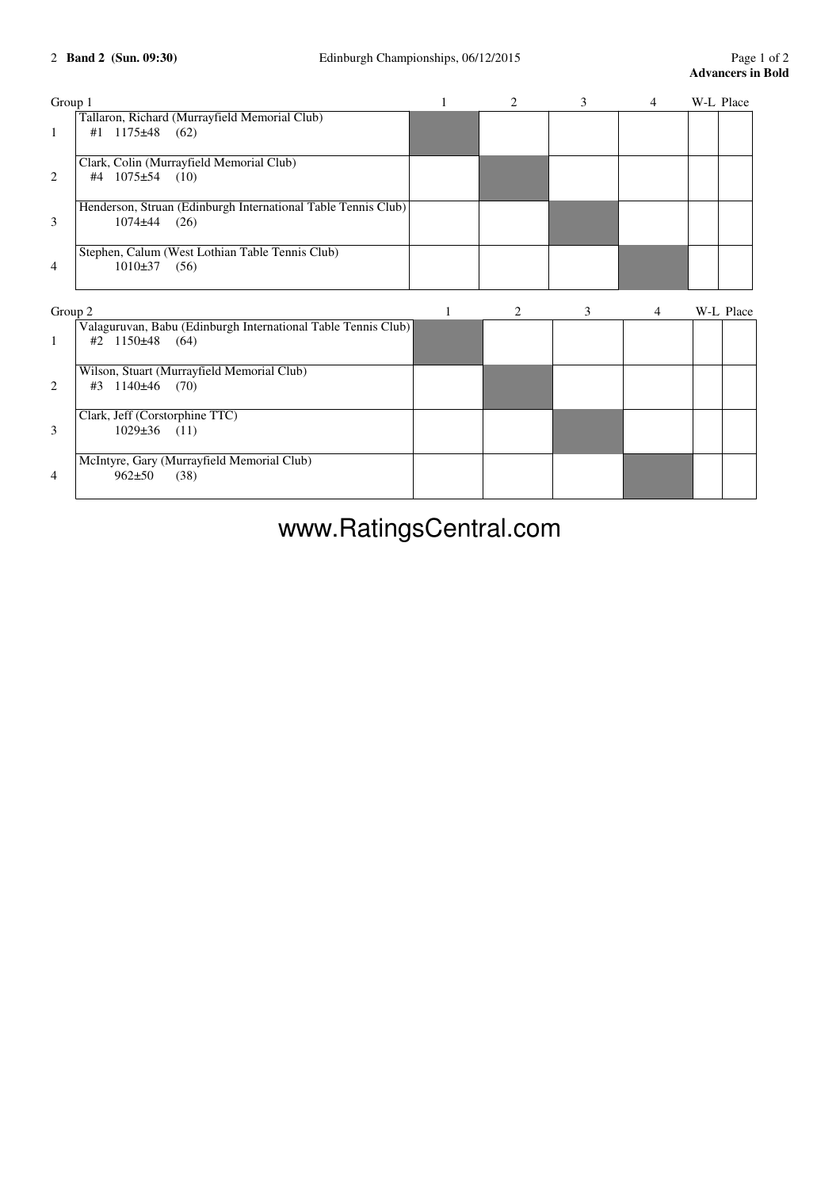| Group 1        |                                                                                      |   | $\overline{c}$ | 3 | $\overline{4}$ | W-L Place |           |
|----------------|--------------------------------------------------------------------------------------|---|----------------|---|----------------|-----------|-----------|
| 1              | Tallaron, Richard (Murrayfield Memorial Club)<br>#1 $1175\pm48$ (62)                 |   |                |   |                |           |           |
| 2              | Clark, Colin (Murrayfield Memorial Club)<br>#4 $1075\pm54$ (10)                      |   |                |   |                |           |           |
| 3              | Henderson, Struan (Edinburgh International Table Tennis Club)<br>$1074 + 44$<br>(26) |   |                |   |                |           |           |
| $\overline{4}$ | Stephen, Calum (West Lothian Table Tennis Club)<br>$1010\pm37$<br>(56)               |   |                |   |                |           |           |
| Group 2        |                                                                                      | 1 | 2              | 3 | 4              |           | W-L Place |
| 1              | Valaguruvan, Babu (Edinburgh International Table Tennis Club)<br>#2 $1150\pm48$ (64) |   |                |   |                |           |           |
| 2              | Wilson, Stuart (Murrayfield Memorial Club)<br>$1140\pm 46$<br>(70)<br>#3             |   |                |   |                |           |           |
| 3              | Clark, Jeff (Corstorphine TTC)<br>$1029 \pm 36$<br>(11)                              |   |                |   |                |           |           |
| 4              | McIntyre, Gary (Murrayfield Memorial Club)<br>$962 \pm 50$<br>(38)                   |   |                |   |                |           |           |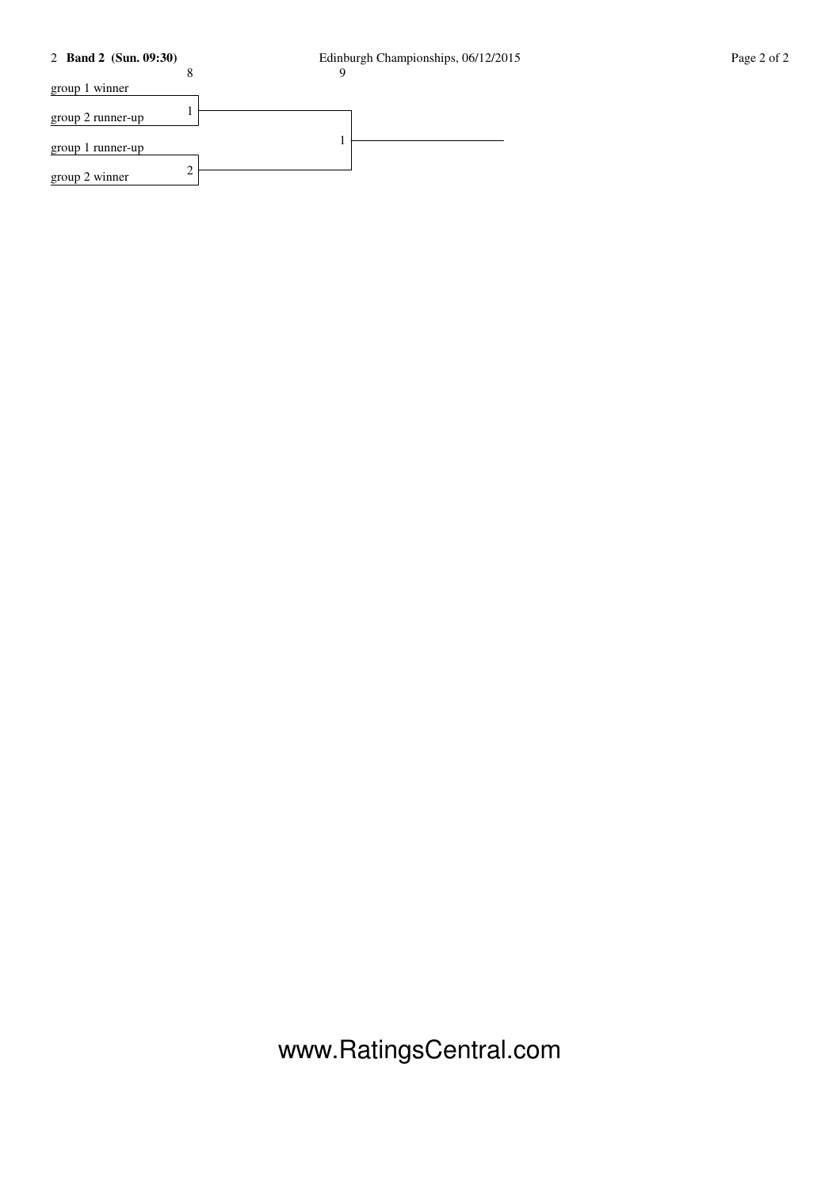## 2 **Band 2 (Sun. 09:30)** Edinburgh Championships, 06/12/2015 Page 2 of 2



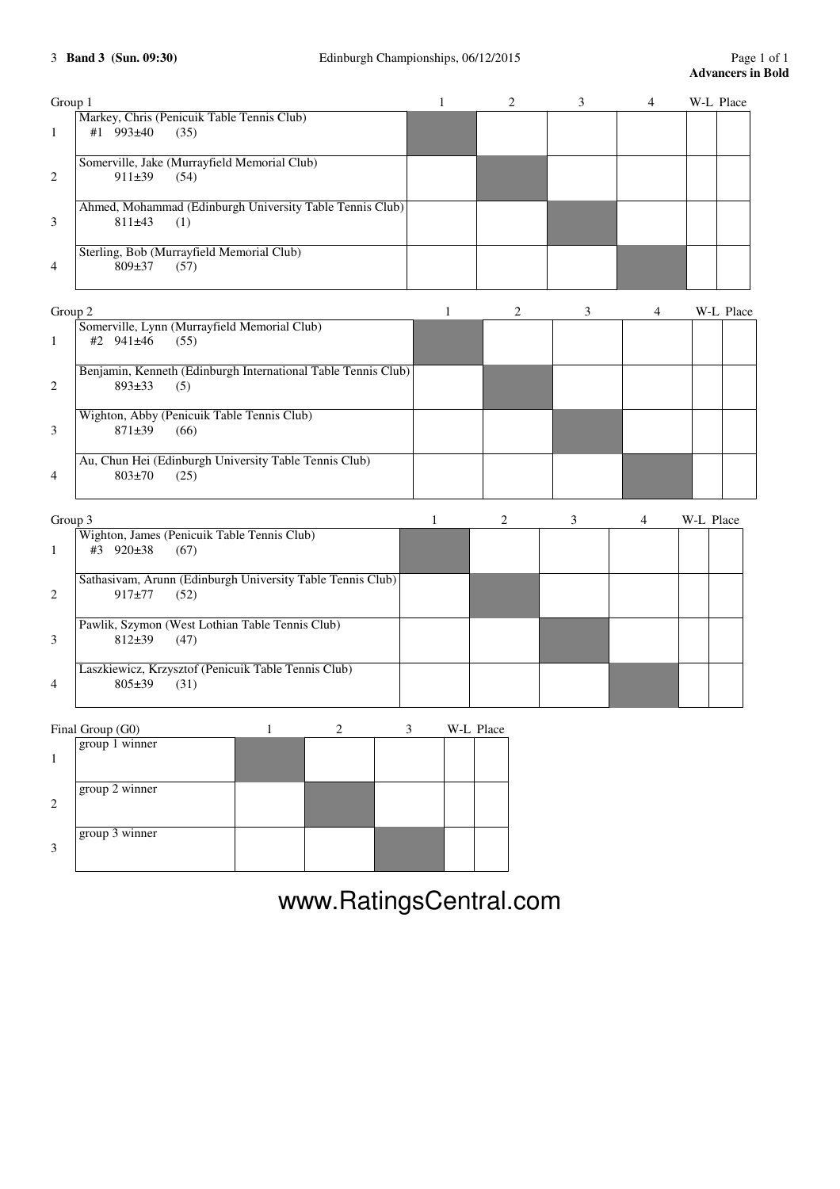| Group 1 |              |                                                                      | 1            | $\mathbf{2}$ | 3 | 4 | W-L Place |           |
|---------|--------------|----------------------------------------------------------------------|--------------|--------------|---|---|-----------|-----------|
| 1       | #1 993±40    | Markey, Chris (Penicuik Table Tennis Club)<br>(35)                   |              |              |   |   |           |           |
| 2       | $911\pm39$   | Somerville, Jake (Murrayfield Memorial Club)<br>(54)                 |              |              |   |   |           |           |
| 3       | 811±43       | Ahmed, Mohammad (Edinburgh University Table Tennis Club)<br>(1)      |              |              |   |   |           |           |
| 4       | $809 \pm 37$ | Sterling, Bob (Murrayfield Memorial Club)<br>(57)                    |              |              |   |   |           |           |
| Group 2 |              |                                                                      | $\mathbf{1}$ | 2            | 3 | 4 |           | W-L Place |
| 1       | #2 941±46    | Somerville, Lynn (Murrayfield Memorial Club)<br>(55)                 |              |              |   |   |           |           |
| 2       | 893±33       | Benjamin, Kenneth (Edinburgh International Table Tennis Club)<br>(5) |              |              |   |   |           |           |
| 3       | $871 \pm 39$ | Wighton, Abby (Penicuik Table Tennis Club)<br>(66)                   |              |              |   |   |           |           |
| 4       | $803 + 70$   | Au, Chun Hei (Edinburgh University Table Tennis Club)<br>(25)        |              |              |   |   |           |           |
| Group 3 |              |                                                                      | $\mathbf{1}$ | 2            | 3 | 4 | W-L Place |           |
| 1       | #3 920±38    | Wighton, James (Penicuik Table Tennis Club)<br>(67)                  |              |              |   |   |           |           |
| 2       | $917 + 77$   | Sathasivam, Arunn (Edinburgh University Table Tennis Club)<br>(52)   |              |              |   |   |           |           |
| 3       | $812+39$     | Pawlik, Szymon (West Lothian Table Tennis Club)<br>(47)              |              |              |   |   |           |           |
| 4       | $805 \pm 39$ | Laszkiewicz, Krzysztof (Penicuik Table Tennis Club)<br>(31)          |              |              |   |   |           |           |

|              | Final Group (G0) |  |  | W-L Place |
|--------------|------------------|--|--|-----------|
| $\mathbf{1}$ | $group 1$ winner |  |  |           |
| 2            | group 2 winner   |  |  |           |
| 3            | group 3 winner   |  |  |           |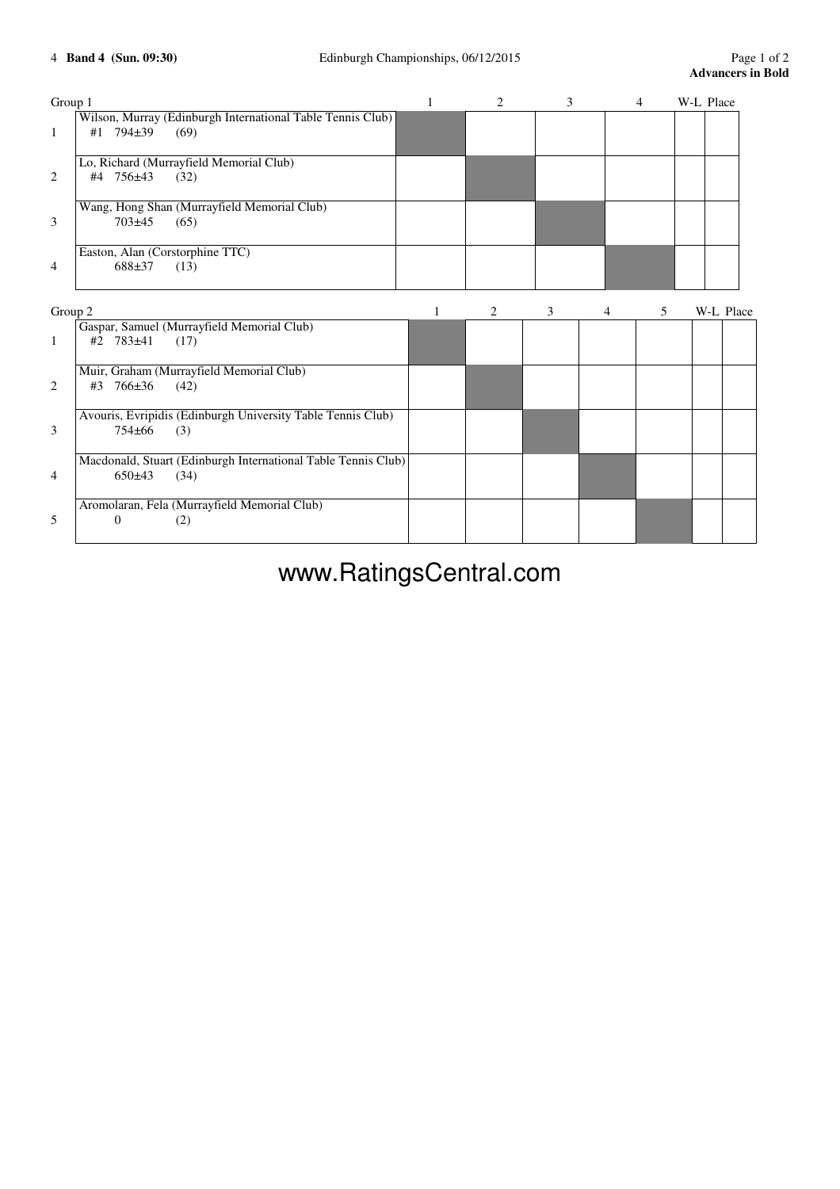| Group 1        |                                                               | 1 | 2 | 3 |                | 4 | W-L Place |  |
|----------------|---------------------------------------------------------------|---|---|---|----------------|---|-----------|--|
|                | Wilson, Murray (Edinburgh International Table Tennis Club)    |   |   |   |                |   |           |  |
| 1              | 794±39<br>(69)<br>#1                                          |   |   |   |                |   |           |  |
|                | Lo, Richard (Murrayfield Memorial Club)                       |   |   |   |                |   |           |  |
| 2              | #4 756±43<br>(32)                                             |   |   |   |                |   |           |  |
|                | Wang, Hong Shan (Murrayfield Memorial Club)                   |   |   |   |                |   |           |  |
| 3              | 703±45<br>(65)                                                |   |   |   |                |   |           |  |
|                | Easton, Alan (Corstorphine TTC)                               |   |   |   |                |   |           |  |
| 4              | 688±37<br>(13)                                                |   |   |   |                |   |           |  |
| Group 2        |                                                               | 1 | 2 | 3 | $\overline{4}$ | 5 | W-L Place |  |
|                | Gaspar, Samuel (Murrayfield Memorial Club)                    |   |   |   |                |   |           |  |
| 1              | #2 783±41<br>(17)                                             |   |   |   |                |   |           |  |
|                | Muir, Graham (Murrayfield Memorial Club)                      |   |   |   |                |   |           |  |
| $\overline{c}$ | 766±36<br>#3<br>(42)                                          |   |   |   |                |   |           |  |
|                | Avouris, Evripidis (Edinburgh University Table Tennis Club)   |   |   |   |                |   |           |  |
| 3              | 754±66<br>(3)                                                 |   |   |   |                |   |           |  |
|                | Macdonald, Stuart (Edinburgh International Table Tennis Club) |   |   |   |                |   |           |  |
| 4              | 650±43<br>(34)                                                |   |   |   |                |   |           |  |
|                | Aromolaran, Fela (Murrayfield Memorial Club)                  |   |   |   |                |   |           |  |
| 5              | $\overline{0}$<br>(2)                                         |   |   |   |                |   |           |  |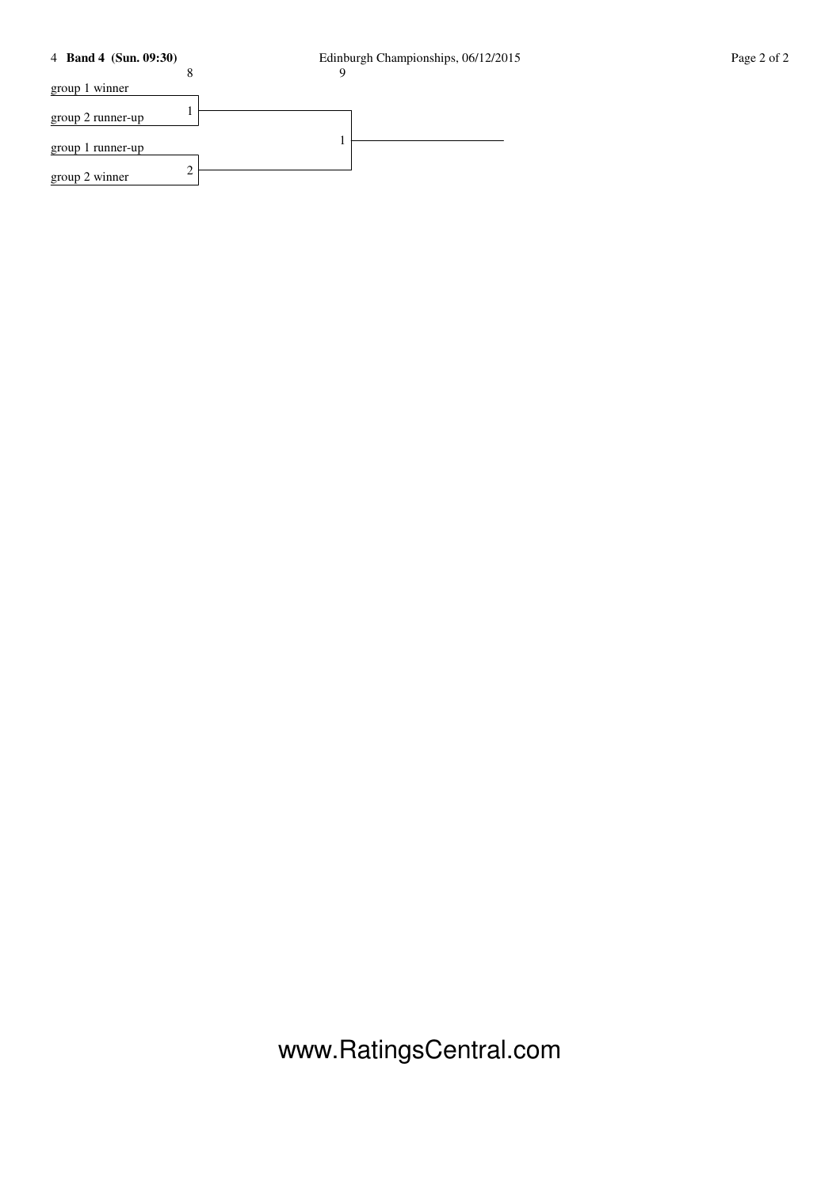## 4 **Band 4 (Sun. 09:30)** Edinburgh Championships, 06/12/2015 Page 2 of 2



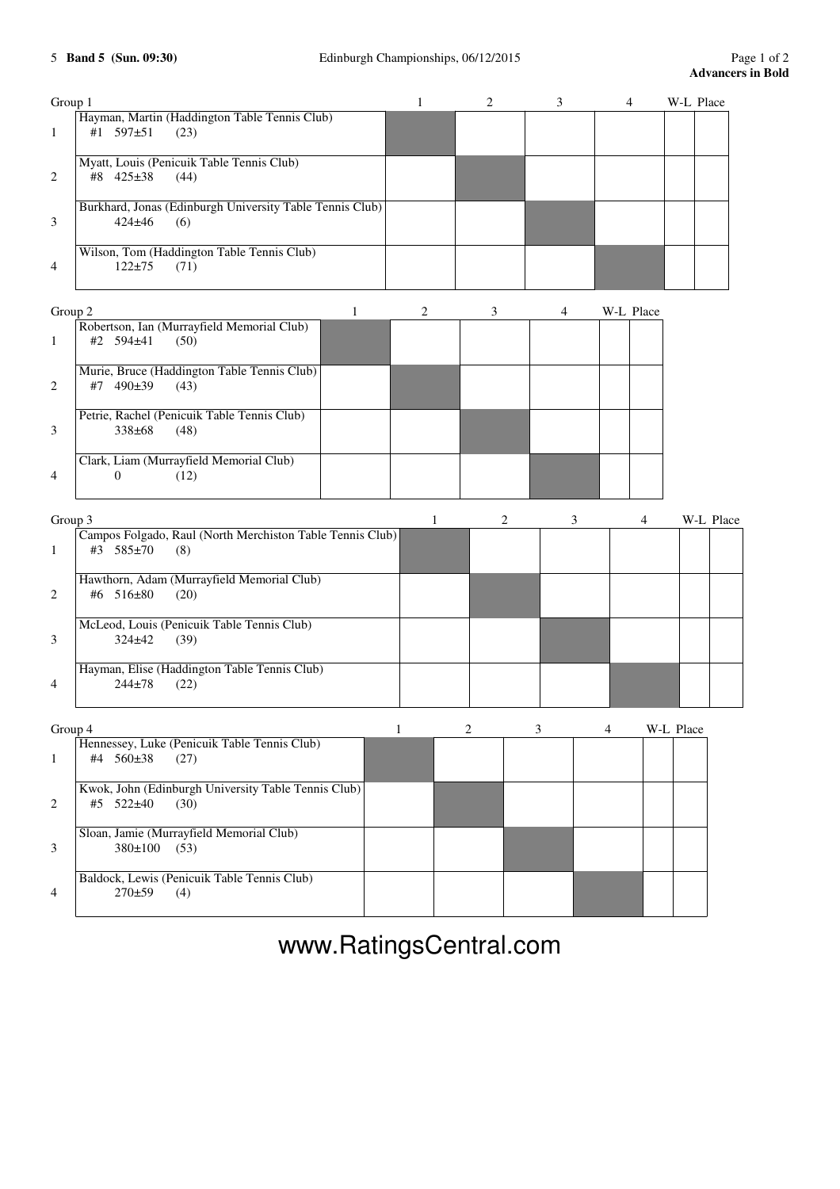| Group 1        |                                                                               | $\mathbf{1}$ | $\overline{c}$ | 3 | 4         | W-L Place |           |
|----------------|-------------------------------------------------------------------------------|--------------|----------------|---|-----------|-----------|-----------|
| $\mathbf{1}$   | Hayman, Martin (Haddington Table Tennis Club)<br>#1 597±51<br>(23)            |              |                |   |           |           |           |
| 2              | Myatt, Louis (Penicuik Table Tennis Club)<br>#8 425±38<br>(44)                |              |                |   |           |           |           |
| 3              | Burkhard, Jonas (Edinburgh University Table Tennis Club)<br>424±46<br>(6)     |              |                |   |           |           |           |
| 4              | Wilson, Tom (Haddington Table Tennis Club)<br>$122 + 75$<br>(71)              |              |                |   |           |           |           |
| Group 2        | 1                                                                             | 2            | 3              | 4 | W-L Place |           |           |
| 1              | Robertson, Ian (Murrayfield Memorial Club)<br>#2 594±41<br>(50)               |              |                |   |           |           |           |
| 2              | Murie, Bruce (Haddington Table Tennis Club)<br>#7 490±39<br>(43)              |              |                |   |           |           |           |
| 3              | Petrie, Rachel (Penicuik Table Tennis Club)<br>338±68<br>(48)                 |              |                |   |           |           |           |
| 4              | Clark, Liam (Murrayfield Memorial Club)<br>$\theta$<br>(12)                   |              |                |   |           |           |           |
| Group 3        |                                                                               | $\mathbf{1}$ | 2              | 3 | 4         |           | W-L Place |
| 1              | Campos Folgado, Raul (North Merchiston Table Tennis Club)<br>#3 585±70<br>(8) |              |                |   |           |           |           |
| $\overline{c}$ | Hawthorn, Adam (Murrayfield Memorial Club)<br>#6 516±80<br>(20)               |              |                |   |           |           |           |
| 3              | McLeod, Louis (Penicuik Table Tennis Club)<br>$324 \pm 42$<br>(39)            |              |                |   |           |           |           |
| 4              | Hayman, Elise (Haddington Table Tennis Club)<br>$244 + 78$<br>(22)            |              |                |   |           |           |           |
| Group 4        |                                                                               | 1            | 2              | 3 | 4         | W-L Place |           |
| 1              | Hennessey, Luke (Penicuik Table Tennis Club)<br>#4 560±38<br>(27)             |              |                |   |           |           |           |
| 2              | Kwok, John (Edinburgh University Table Tennis Club)<br>#5 522±40<br>(30)      |              |                |   |           |           |           |
| 3              | Sloan, Jamie (Murrayfield Memorial Club)<br>380±100<br>(53)                   |              |                |   |           |           |           |
| 4              | Baldock, Lewis (Penicuik Table Tennis Club)<br>$270+59$<br>(4)                |              |                |   |           |           |           |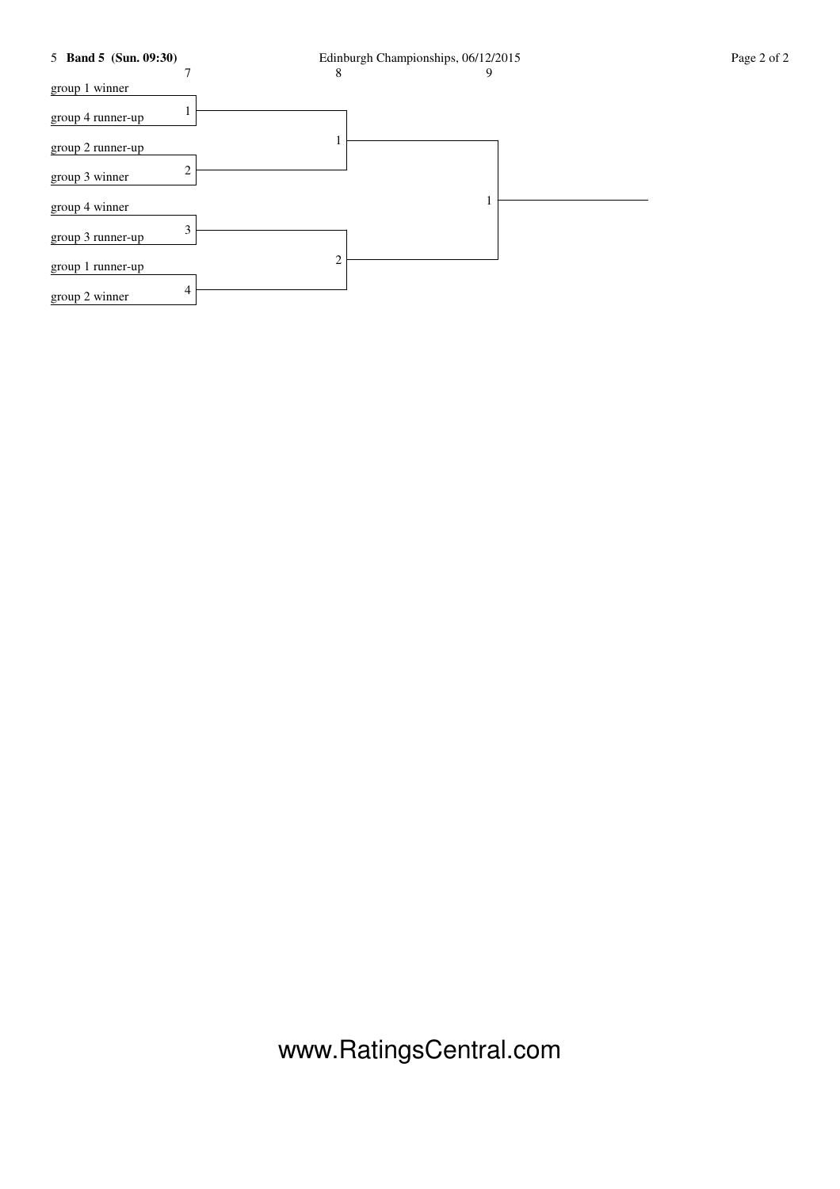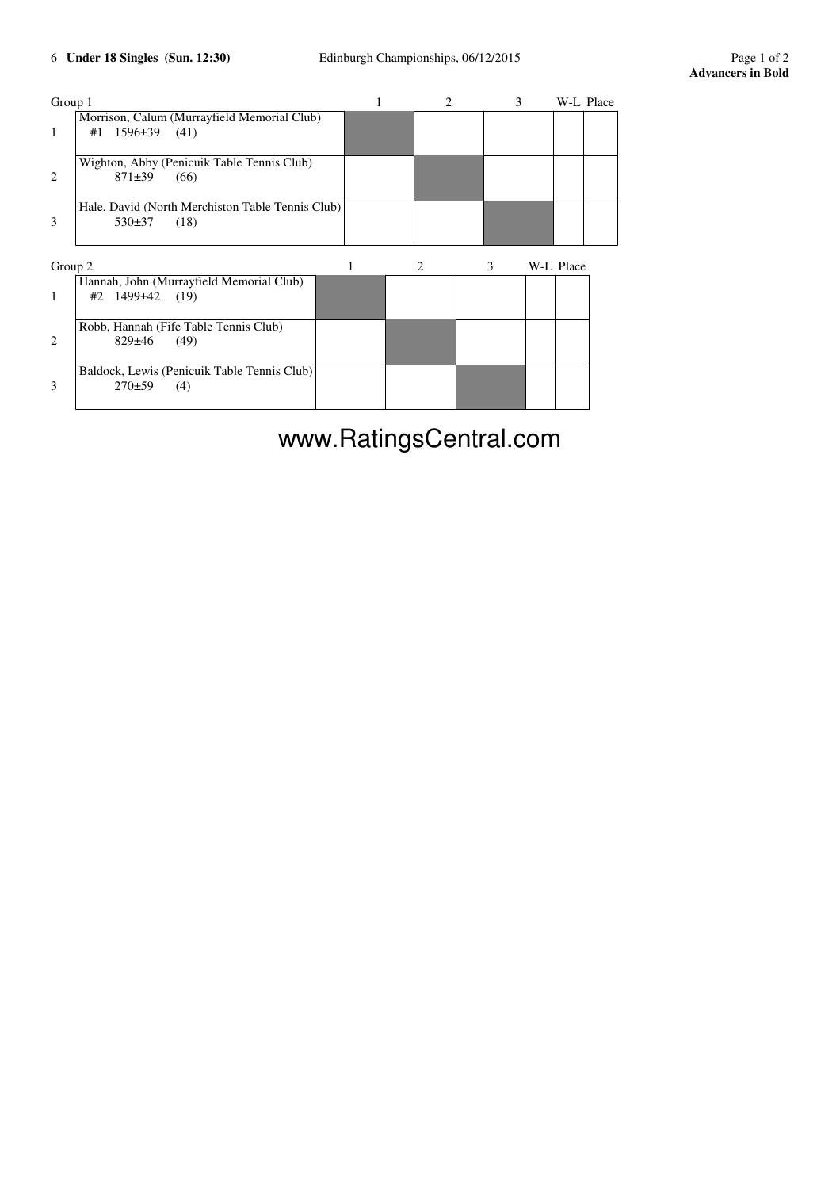| Group 1       |                                                  |  |  | W-L Place |
|---------------|--------------------------------------------------|--|--|-----------|
|               | Morrison, Calum (Murrayfield Memorial Club)      |  |  |           |
|               | $#1$ 1596 $\pm$ 39 (41)                          |  |  |           |
|               |                                                  |  |  |           |
|               | Wighton, Abby (Penicuik Table Tennis Club)       |  |  |           |
| $\mathcal{L}$ | $871\pm39$<br>(66)                               |  |  |           |
|               |                                                  |  |  |           |
|               | Hale, David (North Merchiston Table Tennis Club) |  |  |           |
| 3             | $530\pm37$<br>(18)                               |  |  |           |
|               |                                                  |  |  |           |
|               |                                                  |  |  |           |

| Group 2       |                                             |  |  | W-L Place |
|---------------|---------------------------------------------|--|--|-----------|
|               | Hannah, John (Murrayfield Memorial Club)    |  |  |           |
|               | $#2$ 1499 $\pm 42$ (19)                     |  |  |           |
|               | Robb, Hannah (Fife Table Tennis Club)       |  |  |           |
| $\mathcal{L}$ | $829 \pm 46$<br>(49)                        |  |  |           |
|               | Baldock, Lewis (Penicuik Table Tennis Club) |  |  |           |
|               | $270\pm59$<br>(4)                           |  |  |           |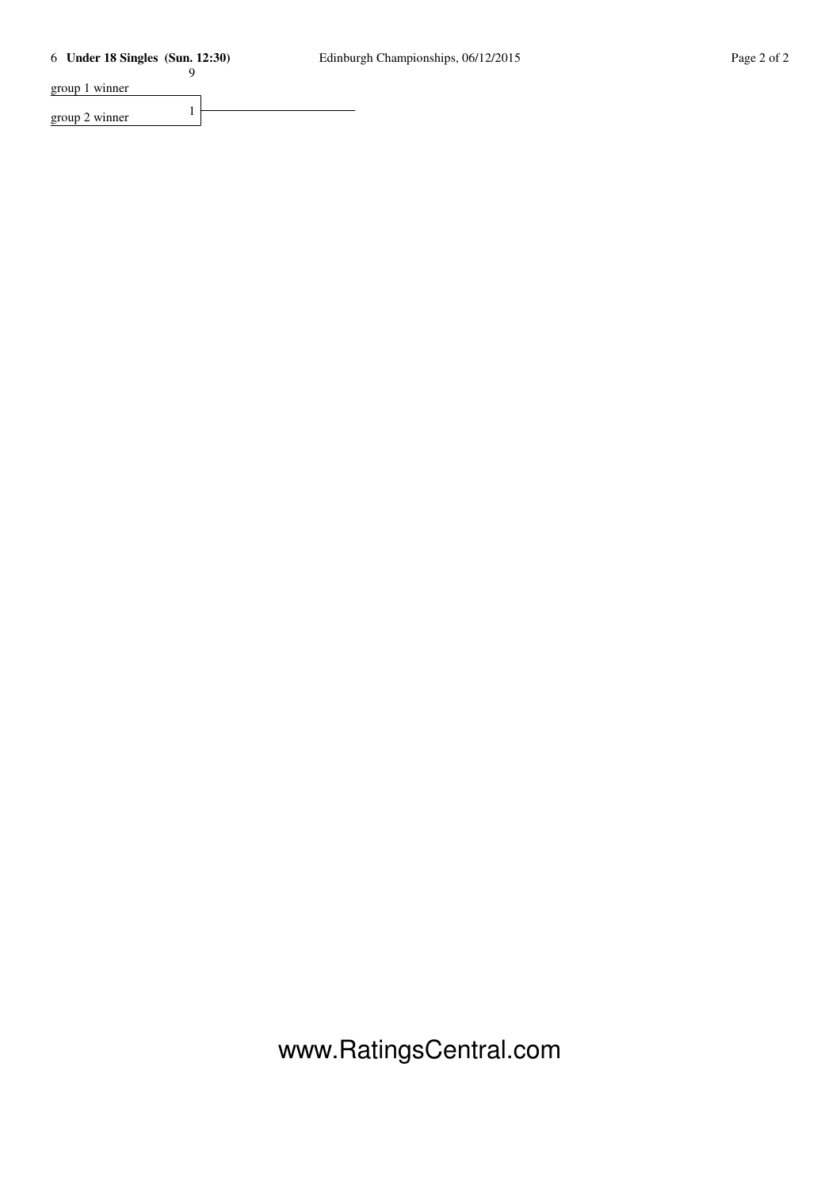9

group 1 winner

group 2 winner  $1$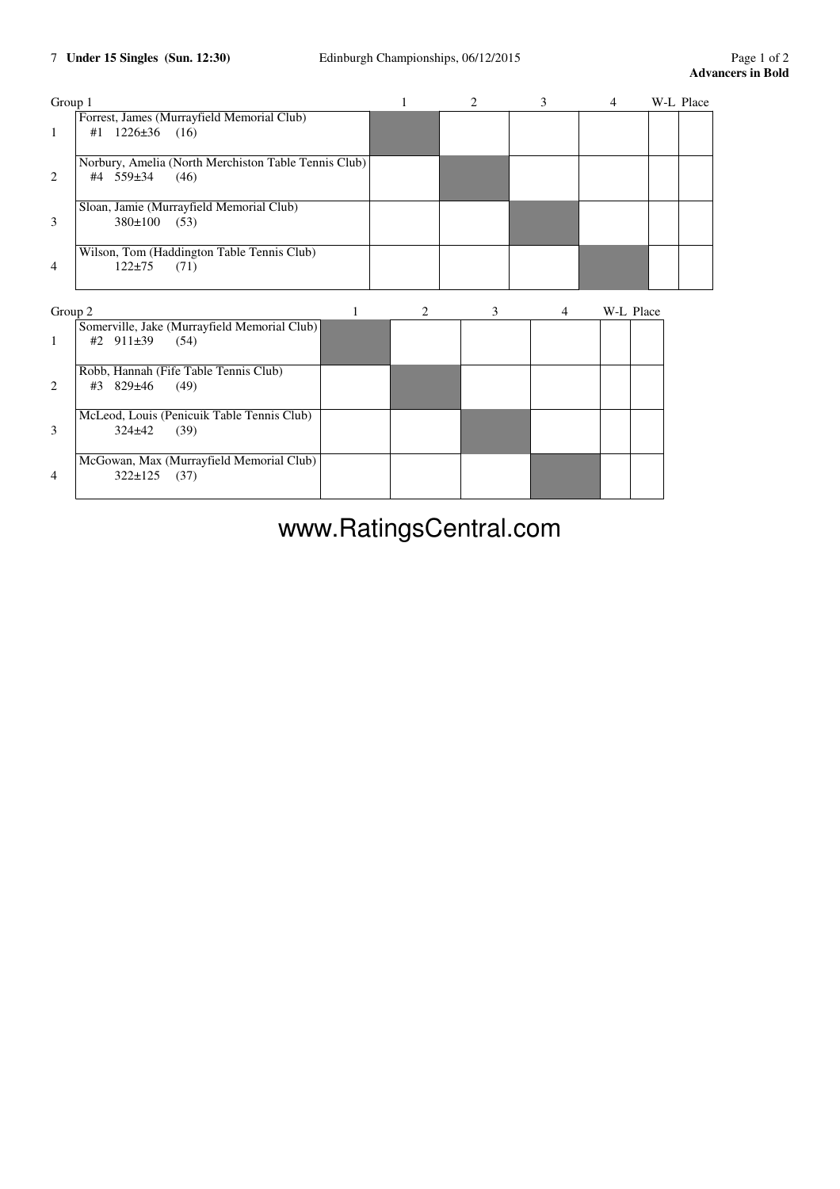| Group 1 |                                                                           |   |   | 2 | 3 | 4         | W-L Place |
|---------|---------------------------------------------------------------------------|---|---|---|---|-----------|-----------|
| 1       | Forrest, James (Murrayfield Memorial Club)<br>$#1$ 1226 $\pm$ 36 (16)     |   |   |   |   |           |           |
| 2       | Norbury, Amelia (North Merchiston Table Tennis Club)<br>#4 559±34<br>(46) |   |   |   |   |           |           |
| 3       | Sloan, Jamie (Murrayfield Memorial Club)<br>380±100<br>(53)               |   |   |   |   |           |           |
| 4       | Wilson, Tom (Haddington Table Tennis Club)<br>$122 + 75$<br>(71)          |   |   |   |   |           |           |
| Group 2 |                                                                           | 1 | 2 | 3 | 4 | W-L Place |           |
| 1       | Somerville, Jake (Murrayfield Memorial Club)<br>#2 911±39<br>(54)         |   |   |   |   |           |           |
| 2       | Robb, Hannah (Fife Table Tennis Club)<br>$829 \pm 46$<br>(49)<br>#3       |   |   |   |   |           |           |
| 3       | McLeod, Louis (Penicuik Table Tennis Club)<br>$324 \pm 42$<br>(39)        |   |   |   |   |           |           |
| 4       | McGowan, Max (Murrayfield Memorial Club)<br>$322 \pm 125$<br>(37)         |   |   |   |   |           |           |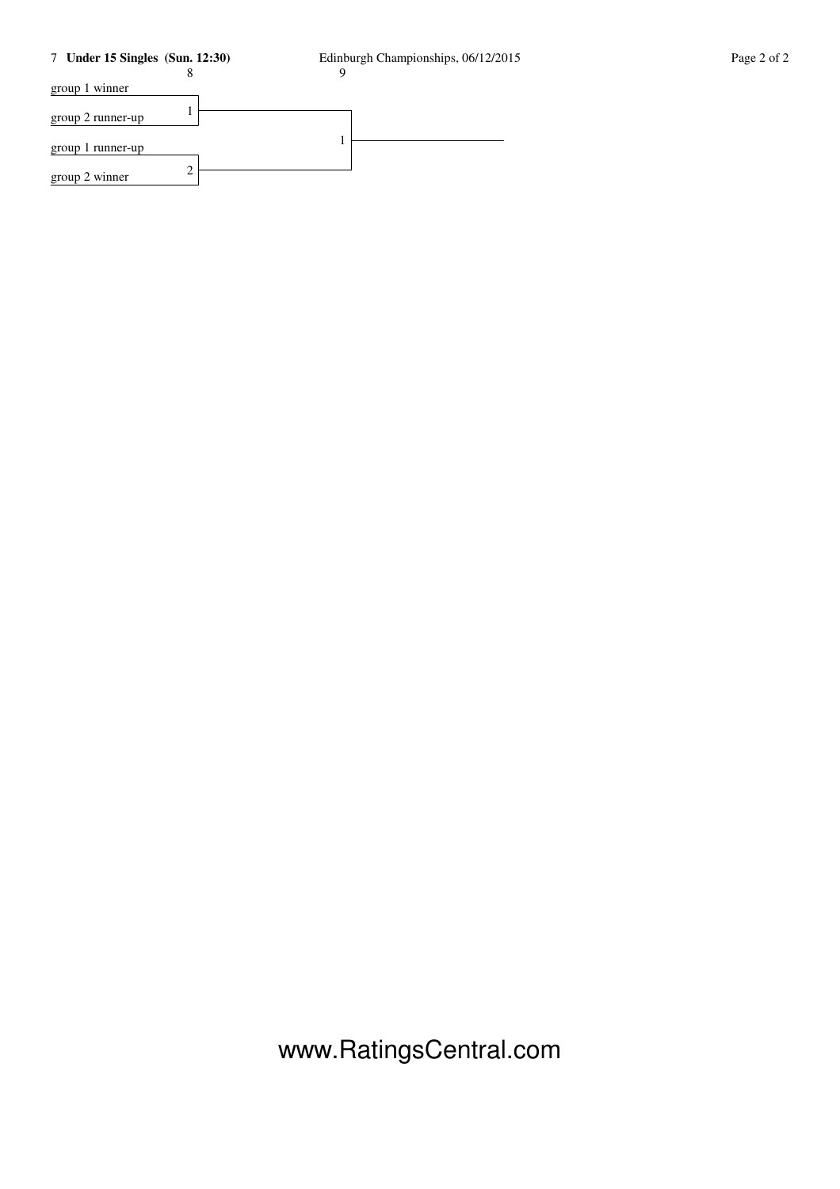## 7 **Under 15 Singles (Sun. 12:30)** Edinburgh Championships, 06/12/2015 Page 2 of 2

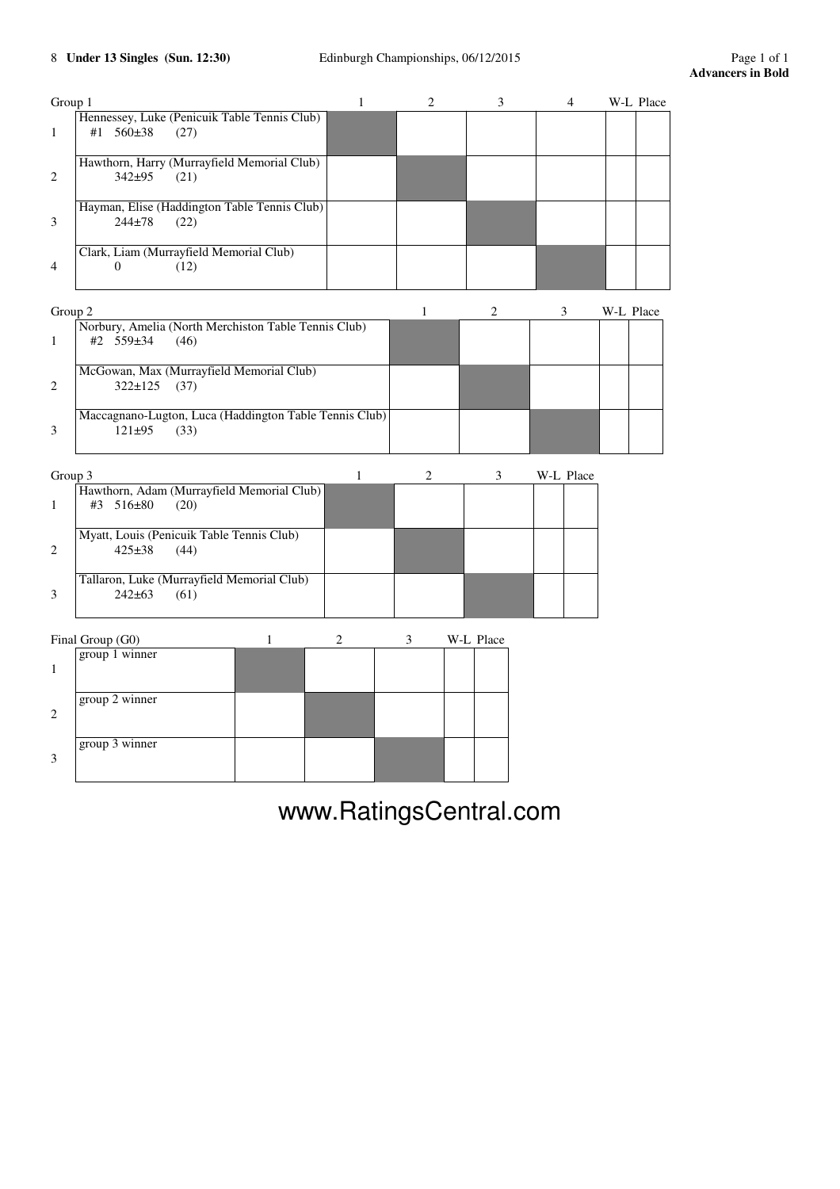|                | Hennessey, Luke (Penicuik Table Tennis Club)                                 |              |              |                |           |           | W-L Place |
|----------------|------------------------------------------------------------------------------|--------------|--------------|----------------|-----------|-----------|-----------|
| 1              | #1 560±38<br>(27)                                                            |              |              |                |           |           |           |
| 2              | Hawthorn, Harry (Murrayfield Memorial Club)<br>342±95<br>(21)                |              |              |                |           |           |           |
| 3              | Hayman, Elise (Haddington Table Tennis Club)<br>$244 + 78$<br>(22)           |              |              |                |           |           |           |
| $\overline{4}$ | Clark, Liam (Murrayfield Memorial Club)<br>$\Omega$<br>(12)                  |              |              |                |           |           |           |
| Group 2        |                                                                              |              | $\mathbf{1}$ | 2              | 3         | W-L Place |           |
| 1              | Norbury, Amelia (North Merchiston Table Tennis Club)<br>#2 559±34<br>(46)    |              |              |                |           |           |           |
| 2              | McGowan, Max (Murrayfield Memorial Club)<br>322±125<br>(37)                  |              |              |                |           |           |           |
| 3              | Maccagnano-Lugton, Luca (Haddington Table Tennis Club)<br>$121 + 95$<br>(33) |              |              |                |           |           |           |
| Group 3        |                                                                              | $\mathbf{1}$ | 2            | $\mathfrak{Z}$ | W-L Place |           |           |
| 1              | Hawthorn, Adam (Murrayfield Memorial Club)<br>#3 516±80<br>(20)              |              |              |                |           |           |           |
| 2              | Myatt, Louis (Penicuik Table Tennis Club)<br>$425 \pm 38$<br>(44)            |              |              |                |           |           |           |
| 3              | Tallaron, Luke (Murrayfield Memorial Club)<br>$242 + 63$<br>(61)             |              |              |                |           |           |           |
|                | Final Group (G0)<br>1                                                        | 2            | 3            | W-L Place      |           |           |           |
| $\mathbf{1}$   | group 1 winner                                                               |              |              |                |           |           |           |
| 2              | group 2 winner                                                               |              |              |                |           |           |           |
| 3              | group 3 winner                                                               |              |              |                |           |           |           |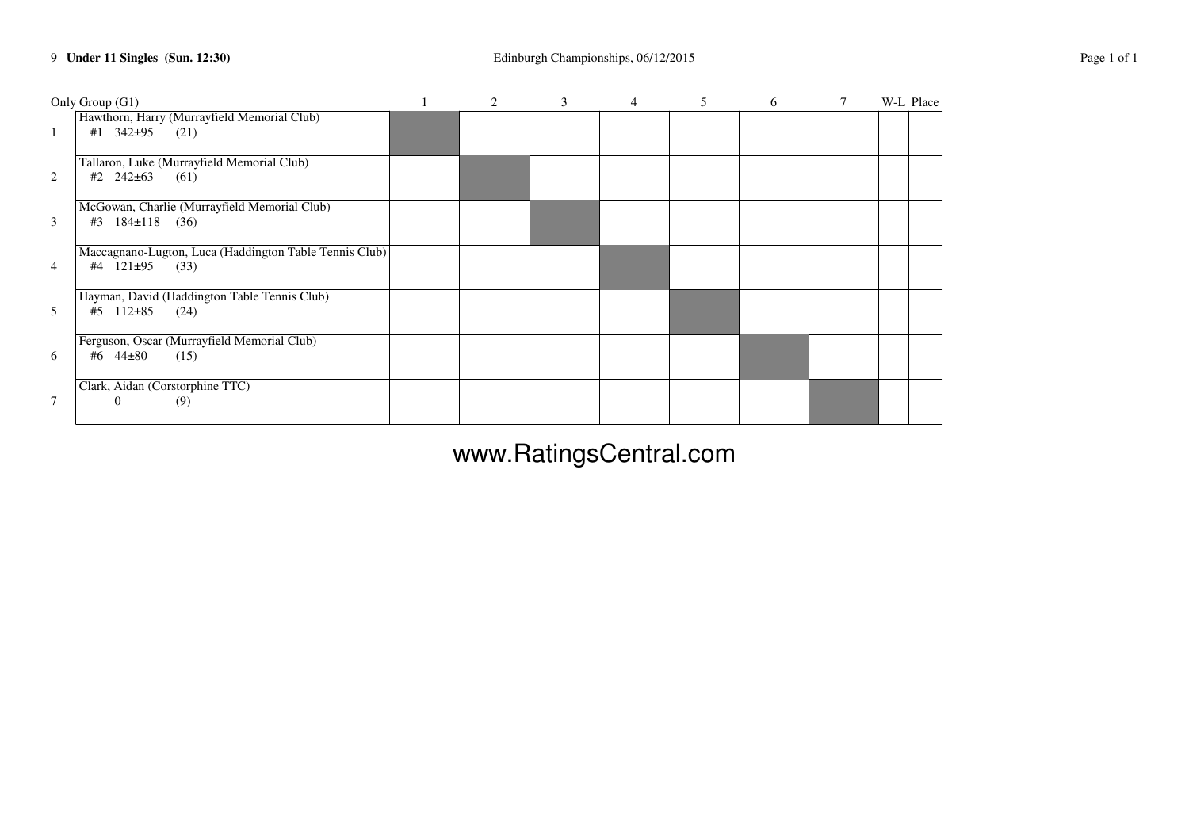|                | Only Group (G1)                                                             | $\overline{2}$ | $\mathbf{3}$ | $\overline{4}$ | 6 | 7 | W-L Place |
|----------------|-----------------------------------------------------------------------------|----------------|--------------|----------------|---|---|-----------|
| $\mathbf{1}$   | Hawthorn, Harry (Murrayfield Memorial Club)<br>#1 $342\pm95$<br>(21)        |                |              |                |   |   |           |
| 2              | Tallaron, Luke (Murrayfield Memorial Club)<br>#2 $242\pm63$<br>(61)         |                |              |                |   |   |           |
| 3              | McGowan, Charlie (Murrayfield Memorial Club)<br>$184 \pm 118$ (36)<br>#3    |                |              |                |   |   |           |
| $\overline{4}$ | Maccagnano-Lugton, Luca (Haddington Table Tennis Club)<br>#4 121±95<br>(33) |                |              |                |   |   |           |
| 5              | Hayman, David (Haddington Table Tennis Club)<br>$112\pm85$<br>(24)<br>#5    |                |              |                |   |   |           |
| 6              | Ferguson, Oscar (Murrayfield Memorial Club)<br>#6 $44\pm80$<br>(15)         |                |              |                |   |   |           |
| 7              | Clark, Aidan (Corstorphine TTC)<br>(9)<br>0                                 |                |              |                |   |   |           |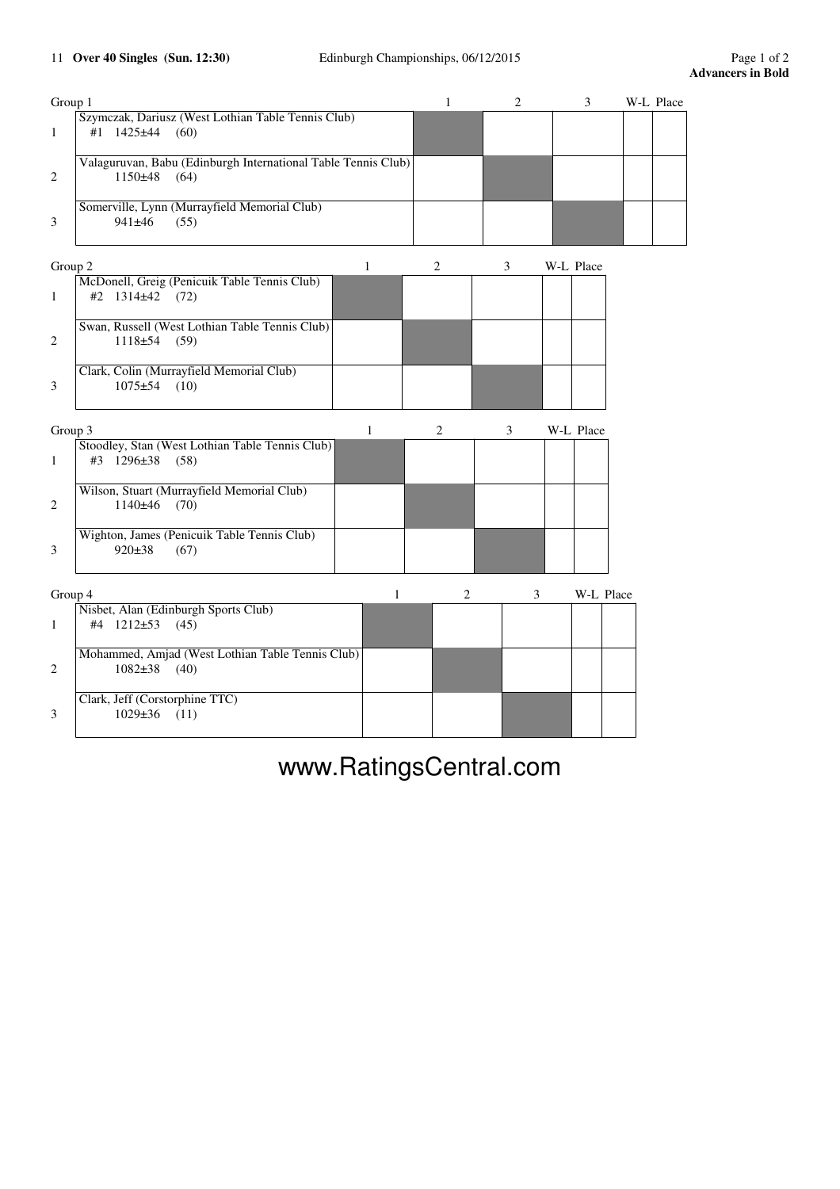| Group 1 |                                                               |   | $\mathbf{1}$   | 2             | 3         | W-L Place |
|---------|---------------------------------------------------------------|---|----------------|---------------|-----------|-----------|
|         | Szymczak, Dariusz (West Lothian Table Tennis Club)            |   |                |               |           |           |
| 1       | #1 1425±44<br>(60)                                            |   |                |               |           |           |
|         | Valaguruvan, Babu (Edinburgh International Table Tennis Club) |   |                |               |           |           |
| 2       | $1150+48$<br>(64)                                             |   |                |               |           |           |
|         |                                                               |   |                |               |           |           |
|         | Somerville, Lynn (Murrayfield Memorial Club)                  |   |                |               |           |           |
| 3       | 941±46<br>(55)                                                |   |                |               |           |           |
|         |                                                               |   |                |               |           |           |
| Group 2 | 1                                                             |   | 2              | 3             | W-L Place |           |
|         | McDonell, Greig (Penicuik Table Tennis Club)                  |   |                |               |           |           |
| 1       | #2 1314±42 (72)                                               |   |                |               |           |           |
|         |                                                               |   |                |               |           |           |
|         | Swan, Russell (West Lothian Table Tennis Club)                |   |                |               |           |           |
| 2       | $1118±54$ (59)                                                |   |                |               |           |           |
|         |                                                               |   |                |               |           |           |
|         | Clark, Colin (Murrayfield Memorial Club)                      |   |                |               |           |           |
| 3       | $1075 + 54$<br>(10)                                           |   |                |               |           |           |
|         |                                                               |   |                |               |           |           |
| Group 3 | $\mathbf{1}$                                                  |   | $\overline{c}$ | $\mathfrak 3$ | W-L Place |           |
|         | Stoodley, Stan (West Lothian Table Tennis Club)               |   |                |               |           |           |
| 1       | #3 1296±38<br>(58)                                            |   |                |               |           |           |
|         |                                                               |   |                |               |           |           |
|         | Wilson, Stuart (Murrayfield Memorial Club)                    |   |                |               |           |           |
| 2       | $1140±46$ (70)                                                |   |                |               |           |           |
|         |                                                               |   |                |               |           |           |
|         | Wighton, James (Penicuik Table Tennis Club)                   |   |                |               |           |           |
| 3       | 920±38<br>(67)                                                |   |                |               |           |           |
|         |                                                               |   |                |               |           |           |
|         |                                                               |   |                |               |           |           |
| Group 4 | Nisbet, Alan (Edinburgh Sports Club)                          | 1 | $\overline{c}$ | 3             | W-L Place |           |
| 1       | #4 1212±53 (45)                                               |   |                |               |           |           |
|         |                                                               |   |                |               |           |           |
|         | Mohammed, Amjad (West Lothian Table Tennis Club)              |   |                |               |           |           |
| 2       | $1082\pm38$ (40)                                              |   |                |               |           |           |
|         |                                                               |   |                |               |           |           |
|         | Clark, Jeff (Corstorphine TTC)                                |   |                |               |           |           |
| 3       | $1029 \pm 36$<br>(11)                                         |   |                |               |           |           |
|         |                                                               |   |                |               |           |           |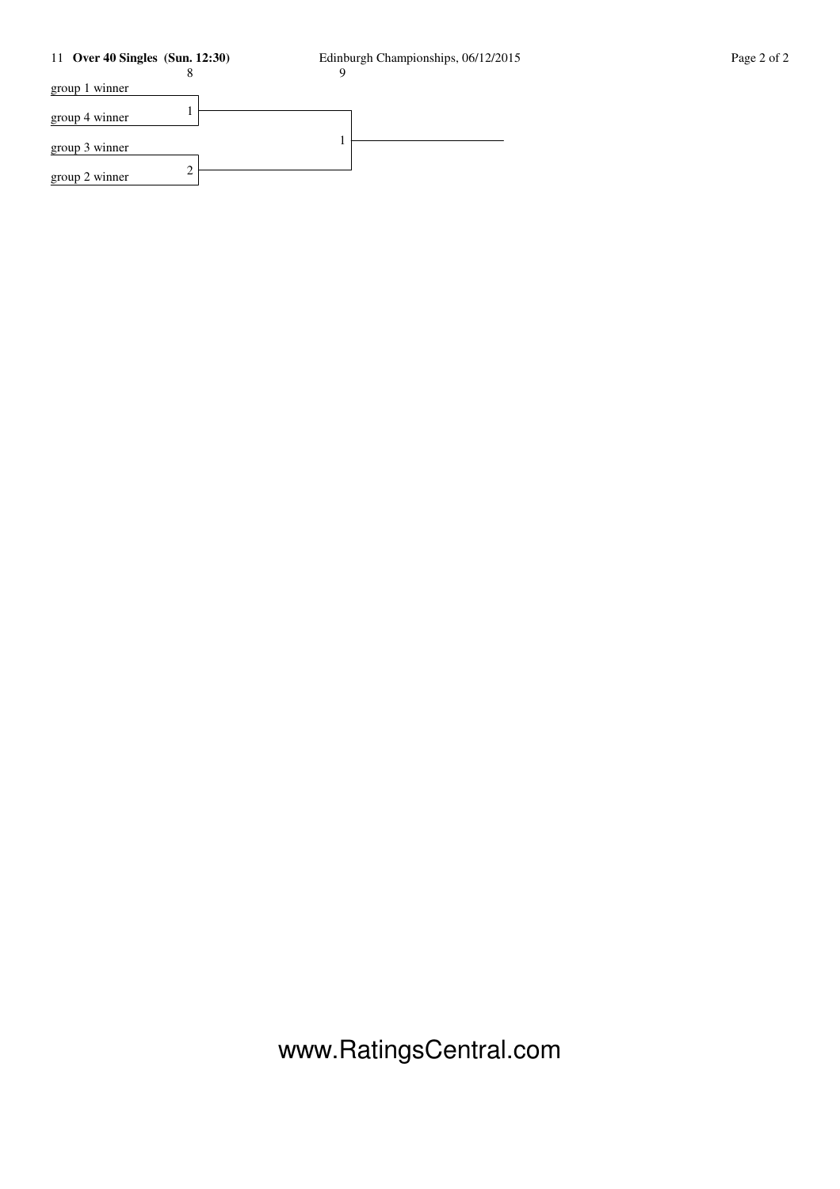## 11 **Over 40 Singles (Sun. 12:30)** Edinburgh Championships, 06/12/2015 Page 2 of 2

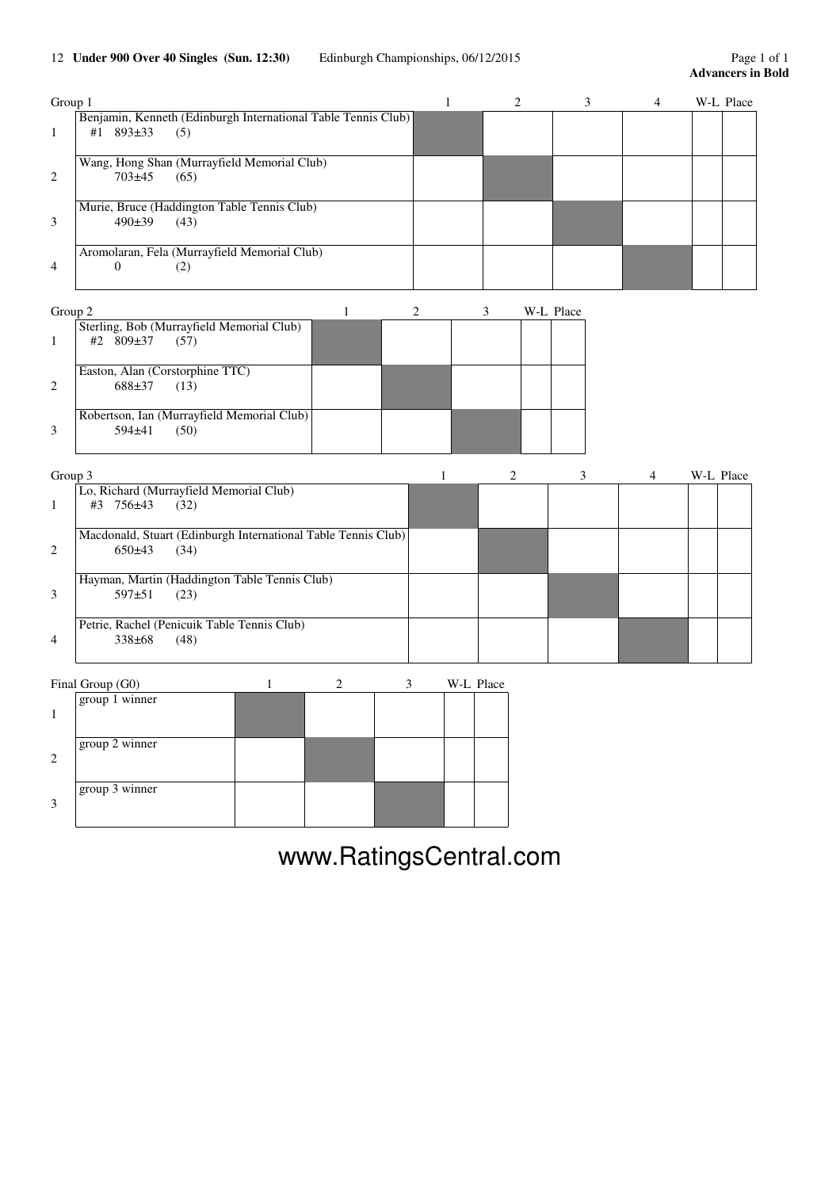## 12 **Under 900 Over 40 Singles (Sun. 12:30)** Edinburgh Championships, 06/12/2015 Page 1 of 1

| Group 1        |                                                                                          |  | 4 | W-L Place |
|----------------|------------------------------------------------------------------------------------------|--|---|-----------|
|                | Benjamin, Kenneth (Edinburgh International Table Tennis Club)<br>$893\pm33$<br>(5)<br>#1 |  |   |           |
| $\mathcal{L}$  | Wang, Hong Shan (Murrayfield Memorial Club)<br>703±45<br>(65)                            |  |   |           |
| 3              | Murie, Bruce (Haddington Table Tennis Club)<br>490±39<br>(43)                            |  |   |           |
| $\overline{4}$ | Aromolaran, Fela (Murrayfield Memorial Club)<br>(2)                                      |  |   |           |

| Group 2       |                                            |  |  | W-L Place |
|---------------|--------------------------------------------|--|--|-----------|
|               | Sterling, Bob (Murrayfield Memorial Club)  |  |  |           |
|               | #2 $809\pm37$<br>(57)                      |  |  |           |
|               | Easton, Alan (Corstorphine TTC)            |  |  |           |
| $\mathcal{L}$ | 688±37<br>(13)                             |  |  |           |
|               | Robertson, Ian (Murrayfield Memorial Club) |  |  |           |
| 3             | $594\pm41$<br>(50)                         |  |  |           |

| Group 3        |                                                               |  |  | W-L Place |
|----------------|---------------------------------------------------------------|--|--|-----------|
|                | Lo, Richard (Murrayfield Memorial Club)                       |  |  |           |
|                | #3 756±43<br>(32)                                             |  |  |           |
|                | Macdonald, Stuart (Edinburgh International Table Tennis Club) |  |  |           |
| $\mathcal{L}$  | $650+43$<br>(34)                                              |  |  |           |
|                | Hayman, Martin (Haddington Table Tennis Club)                 |  |  |           |
| 3              | $597+51$<br>(23)                                              |  |  |           |
|                | Petrie, Rachel (Penicuik Table Tennis Club)                   |  |  |           |
| $\overline{4}$ | $338\pm 68$<br>(48)                                           |  |  |           |

| Final Group (G0) |  | $W_{-1}$ | тасс |
|------------------|--|----------|------|
|                  |  |          |      |

|               | group 1 winner |  |  |  |
|---------------|----------------|--|--|--|
| $\mathcal{L}$ | group 2 winner |  |  |  |
| $\mathcal{R}$ | group 3 winner |  |  |  |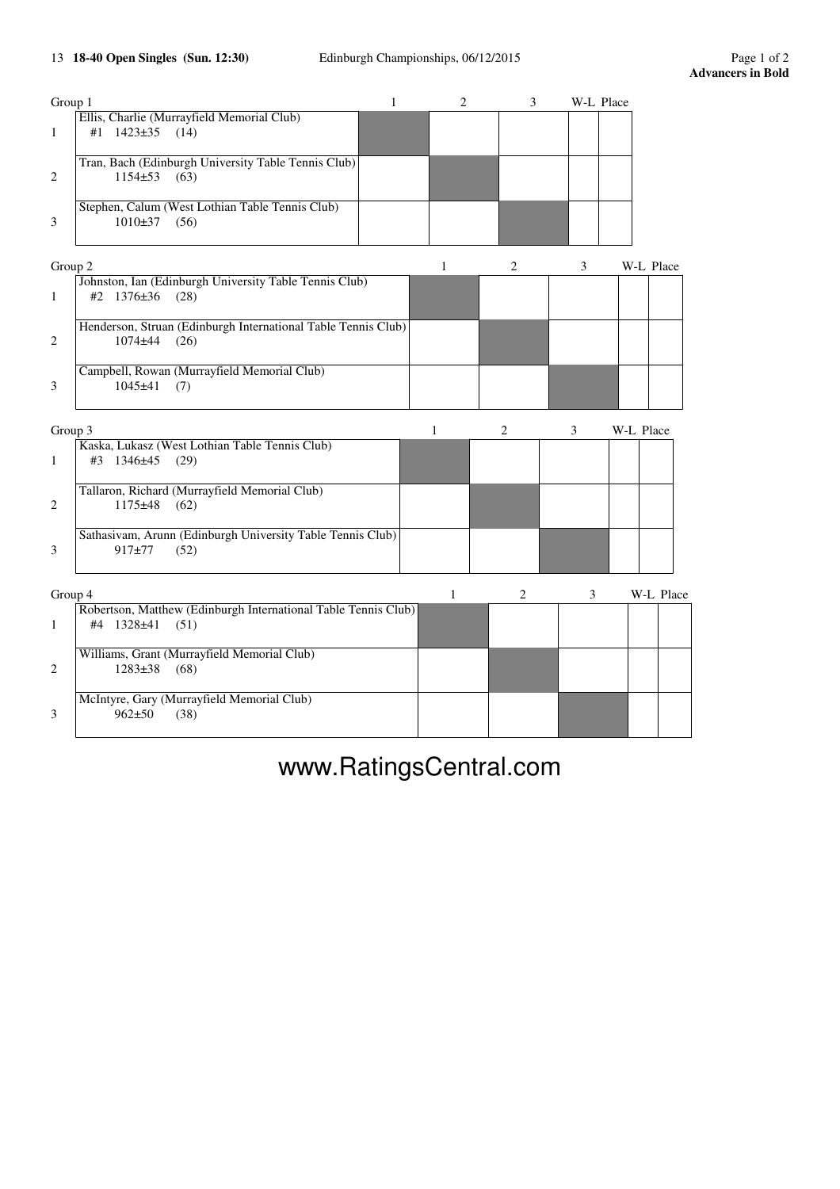## 13 **18-40 Open Singles (Sun. 12:30)** Edinburgh Championships, 06/12/2015 Page 1 of 2

| Group 1 |                                                                | $\mathbf{1}$ | 2 | 3              | W-L Place |           |
|---------|----------------------------------------------------------------|--------------|---|----------------|-----------|-----------|
|         | Ellis, Charlie (Murrayfield Memorial Club)                     |              |   |                |           |           |
| 1       | #1 1423±35<br>(14)                                             |              |   |                |           |           |
|         | Tran, Bach (Edinburgh University Table Tennis Club)            |              |   |                |           |           |
| 2       | $1154\pm 53$ (63)                                              |              |   |                |           |           |
|         |                                                                |              |   |                |           |           |
|         | Stephen, Calum (West Lothian Table Tennis Club)                |              |   |                |           |           |
| 3       | $1010\pm37$ (56)                                               |              |   |                |           |           |
|         |                                                                |              |   |                |           |           |
| Group 2 |                                                                |              | 1 | $\overline{c}$ | 3         | W-L Place |
|         | Johnston, Ian (Edinburgh University Table Tennis Club)         |              |   |                |           |           |
| 1       | #2 $1376 \pm 36$ (28)                                          |              |   |                |           |           |
|         | Henderson, Struan (Edinburgh International Table Tennis Club)  |              |   |                |           |           |
| 2       | $1074 + 44$<br>(26)                                            |              |   |                |           |           |
|         |                                                                |              |   |                |           |           |
|         | Campbell, Rowan (Murrayfield Memorial Club)                    |              |   |                |           |           |
| 3       | $1045 + 41$<br>(7)                                             |              |   |                |           |           |
|         |                                                                |              |   |                |           |           |
| Group 3 |                                                                |              | 1 | 2              | 3         | W-L Place |
|         | Kaska, Lukasz (West Lothian Table Tennis Club)                 |              |   |                |           |           |
| 1       | #3 1346±45 (29)                                                |              |   |                |           |           |
|         |                                                                |              |   |                |           |           |
|         | Tallaron, Richard (Murrayfield Memorial Club)                  |              |   |                |           |           |
| 2       | $1175 + 48$<br>(62)                                            |              |   |                |           |           |
|         |                                                                |              |   |                |           |           |
|         | Sathasivam, Arunn (Edinburgh University Table Tennis Club)     |              |   |                |           |           |
| 3       | $917 + 77$<br>(52)                                             |              |   |                |           |           |
|         |                                                                |              |   |                |           |           |
| Group 4 |                                                                |              | 1 | $\overline{c}$ | 3         | W-L Place |
|         | Robertson, Matthew (Edinburgh International Table Tennis Club) |              |   |                |           |           |
| 1       | #4 1328±41<br>(51)                                             |              |   |                |           |           |
|         |                                                                |              |   |                |           |           |
|         | Williams, Grant (Murrayfield Memorial Club)                    |              |   |                |           |           |
| 2       | 1283±38<br>(68)                                                |              |   |                |           |           |
|         |                                                                |              |   |                |           |           |
|         |                                                                |              |   |                |           |           |
|         | McIntyre, Gary (Murrayfield Memorial Club)                     |              |   |                |           |           |
| 3       | $962 + 50$<br>(38)                                             |              |   |                |           |           |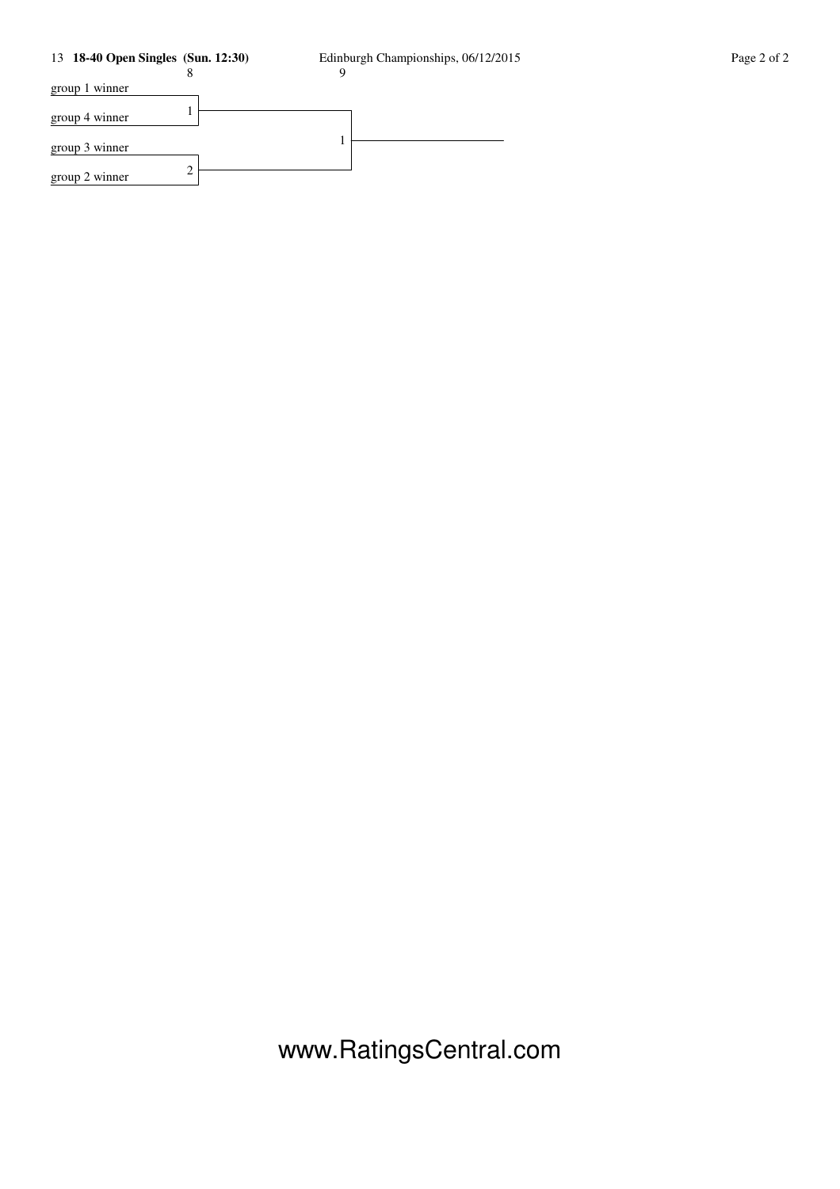## 13 **18-40 Open Singles (Sun. 12:30)** Edinburgh Championships, 06/12/2015 Page 2 of 2

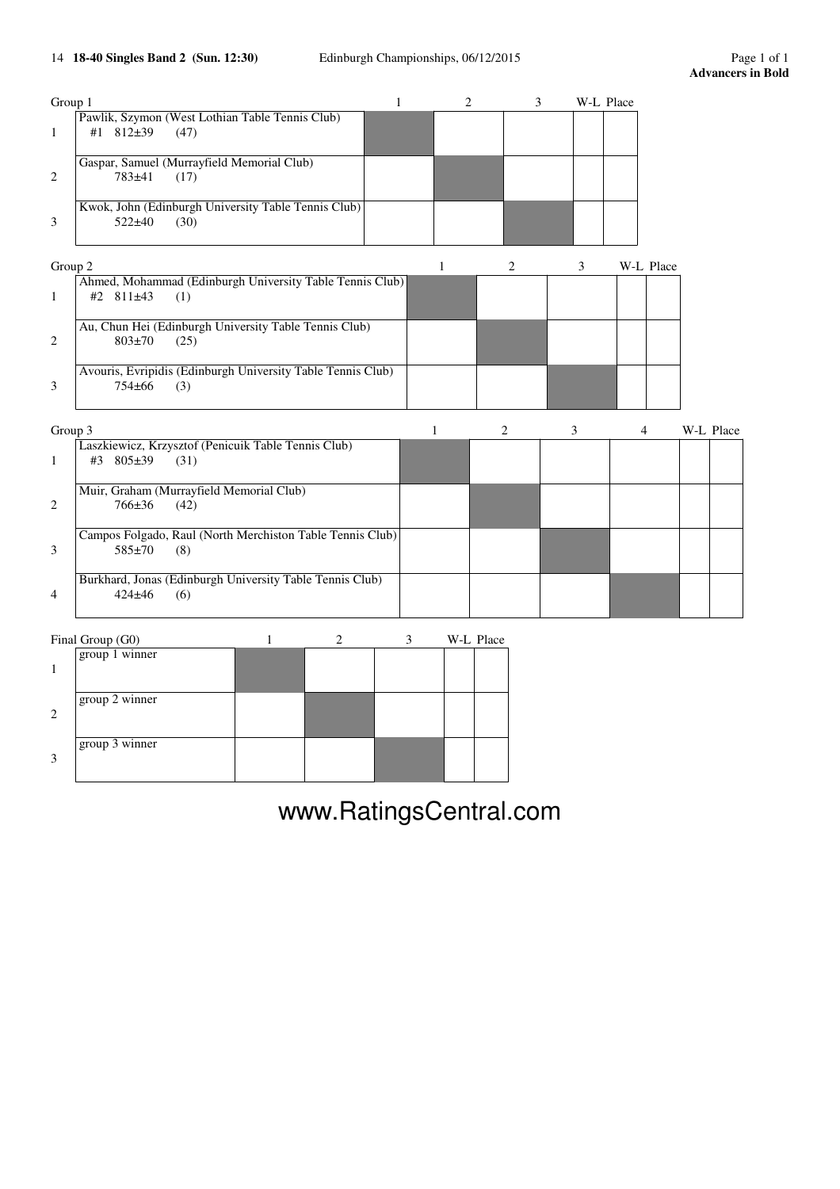## 14 **18-40 Singles Band 2 (Sun. 12:30)** Edinburgh Championships, 06/12/2015 Page 1 of 1

| Group 1      |                                                                               | 1 |              | $\overline{2}$ | 3 |   | W-L Place |           |           |  |
|--------------|-------------------------------------------------------------------------------|---|--------------|----------------|---|---|-----------|-----------|-----------|--|
| $\mathbf{1}$ | Pawlik, Szymon (West Lothian Table Tennis Club)<br>#1 812±39<br>(47)          |   |              |                |   |   |           |           |           |  |
| 2            | Gaspar, Samuel (Murrayfield Memorial Club)<br>783±41<br>(17)                  |   |              |                |   |   |           |           |           |  |
| 3            | Kwok, John (Edinburgh University Table Tennis Club)<br>$522 + 40$<br>(30)     |   |              |                |   |   |           |           |           |  |
| Group 2      |                                                                               |   | 1            | 2              |   | 3 |           | W-L Place |           |  |
| $\mathbf{1}$ | Ahmed, Mohammad (Edinburgh University Table Tennis Club)<br>#2 811±43<br>(1)  |   |              |                |   |   |           |           |           |  |
| 2            | Au, Chun Hei (Edinburgh University Table Tennis Club)<br>$803 \pm 70$<br>(25) |   |              |                |   |   |           |           |           |  |
| 3            | Avouris, Evripidis (Edinburgh University Table Tennis Club)<br>754±66<br>(3)  |   |              |                |   |   |           |           |           |  |
| Group 3      |                                                                               |   | $\mathbf{1}$ | $\overline{c}$ |   | 3 |           | 4         | W-L Place |  |
| $\mathbf{1}$ | Laszkiewicz, Krzysztof (Penicuik Table Tennis Club)<br>#3 805±39<br>(31)      |   |              |                |   |   |           |           |           |  |
| 2            | Muir, Graham (Murrayfield Memorial Club)<br>766±36<br>(42)                    |   |              |                |   |   |           |           |           |  |
| 3            | Campos Folgado, Raul (North Merchiston Table Tennis Club)<br>585±70<br>(8)    |   |              |                |   |   |           |           |           |  |
| 4            | Burkhard, Jonas (Edinburgh University Table Tennis Club)<br>$424 + 46$<br>(6) |   |              |                |   |   |           |           |           |  |
|              | Final Group (G0)<br>1<br>2                                                    | 3 |              | W-L Place      |   |   |           |           |           |  |
| 1            | group 1 winner                                                                |   |              |                |   |   |           |           |           |  |

|   | group 2 winner |  |  |  |
|---|----------------|--|--|--|
| っ |                |  |  |  |
|   | group 3 winner |  |  |  |
| 3 |                |  |  |  |